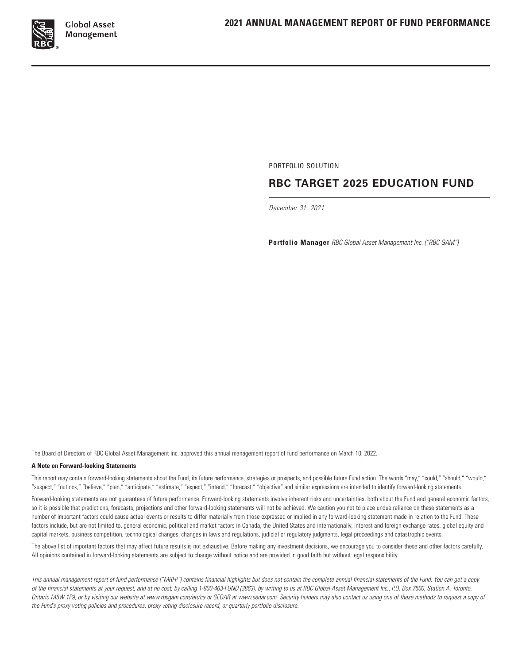

PORTFOLIO SOLUTION

# **RBC TARGET 2025 EDUCATION FUND**

*December 31, 2021*

**Portfolio Manager** *RBC Global Asset Management Inc. ("RBC GAM")*

The Board of Directors of RBC Global Asset Management Inc. approved this annual management report of fund performance on March 10, 2022.

#### **A Note on Forward‑looking Statements**

This report may contain forward‑looking statements about the Fund, its future performance, strategies or prospects, and possible future Fund action. The words "may," "could," "should," "would," "suspect," "outlook," "believe," "plan," "anticipate," "estimate," "expect," "intend," "forecast," "objective" and similar expressions are intended to identify forward‑looking statements.

Forward-looking statements are not guarantees of future performance. Forward-looking statements involve inherent risks and uncertainties, both about the Fund and general economic factors, so it is possible that predictions, forecasts, projections and other forward-looking statements will not be achieved. We caution you not to place undue reliance on these statements as a number of important factors could cause actual events or results to differ materially from those expressed or implied in any forward‑looking statement made in relation to the Fund. These factors include, but are not limited to, general economic, political and market factors in Canada, the United States and internationally, interest and foreign exchange rates, global equity and capital markets, business competition, technological changes, changes in laws and regulations, judicial or regulatory judgments, legal proceedings and catastrophic events.

The above list of important factors that may affect future results is not exhaustive. Before making any investment decisions, we encourage you to consider these and other factors carefully. All opinions contained in forward‑looking statements are subject to change without notice and are provided in good faith but without legal responsibility.

*This annual management report of fund performance ("MRFP") contains financial highlights but does not contain the complete annual financial statements of the Fund. You can get a copy of the financial statements at your request, and at no cost, by calling 1‑800‑463‑FUND (3863), by writing to us at RBC Global Asset Management Inc., P.O. Box 7500, Station A, Toronto, Ontario M5W 1P9, or by visiting our website at www.rbcgam.com/en/ca or SEDAR at www.sedar.com. Security holders may also contact us using one of these methods to request a copy of the Fund's proxy voting policies and procedures, proxy voting disclosure record, or quarterly portfolio disclosure.*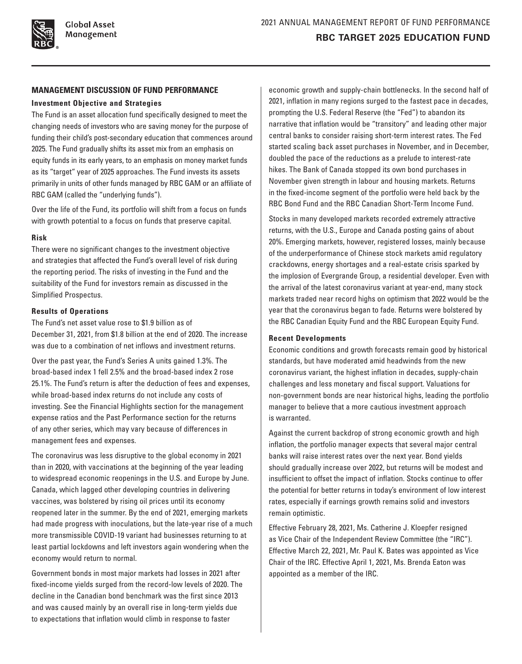## **MANAGEMENT DISCUSSION OF FUND PERFORMANCE**

#### **Investment Objective and Strategies**

The Fund is an asset allocation fund specifically designed to meet the changing needs of investors who are saving money for the purpose of funding their child's post-secondary education that commences around 2025. The Fund gradually shifts its asset mix from an emphasis on equity funds in its early years, to an emphasis on money market funds as its "target" year of 2025 approaches. The Fund invests its assets primarily in units of other funds managed by RBC GAM or an affiliate of RBC GAM (called the "underlying funds").

Over the life of the Fund, its portfolio will shift from a focus on funds with growth potential to a focus on funds that preserve capital.

## **Risk**

There were no significant changes to the investment objective and strategies that affected the Fund's overall level of risk during the reporting period. The risks of investing in the Fund and the suitability of the Fund for investors remain as discussed in the Simplified Prospectus.

## **Results of Operations**

The Fund's net asset value rose to \$1.9 billion as of December 31, 2021, from \$1.8 billion at the end of 2020. The increase was due to a combination of net inflows and investment returns.

Over the past year, the Fund's Series A units gained 1.3%. The broad‑based index 1 fell 2.5% and the broad‑based index 2 rose 25.1%. The Fund's return is after the deduction of fees and expenses, while broad-based index returns do not include any costs of investing. See the Financial Highlights section for the management expense ratios and the Past Performance section for the returns of any other series, which may vary because of differences in management fees and expenses.

The coronavirus was less disruptive to the global economy in 2021 than in 2020, with vaccinations at the beginning of the year leading to widespread economic reopenings in the U.S. and Europe by June. Canada, which lagged other developing countries in delivering vaccines, was bolstered by rising oil prices until its economy reopened later in the summer. By the end of 2021, emerging markets had made progress with inoculations, but the late-year rise of a much more transmissible COVID-19 variant had businesses returning to at least partial lockdowns and left investors again wondering when the economy would return to normal.

Government bonds in most major markets had losses in 2021 after fixed-income yields surged from the record-low levels of 2020. The decline in the Canadian bond benchmark was the first since 2013 and was caused mainly by an overall rise in long-term yields due to expectations that inflation would climb in response to faster

economic growth and supply-chain bottlenecks. In the second half of 2021, inflation in many regions surged to the fastest pace in decades, prompting the U.S. Federal Reserve (the "Fed") to abandon its narrative that inflation would be "transitory" and leading other major central banks to consider raising short-term interest rates. The Fed started scaling back asset purchases in November, and in December, doubled the pace of the reductions as a prelude to interest-rate hikes. The Bank of Canada stopped its own bond purchases in November given strength in labour and housing markets. Returns in the fixed-income segment of the portfolio were held back by the RBC Bond Fund and the RBC Canadian Short-Term Income Fund.

Stocks in many developed markets recorded extremely attractive returns, with the U.S., Europe and Canada posting gains of about 20%. Emerging markets, however, registered losses, mainly because of the underperformance of Chinese stock markets amid regulatory crackdowns, energy shortages and a real-estate crisis sparked by the implosion of Evergrande Group, a residential developer. Even with the arrival of the latest coronavirus variant at year-end, many stock markets traded near record highs on optimism that 2022 would be the year that the coronavirus began to fade. Returns were bolstered by the RBC Canadian Equity Fund and the RBC European Equity Fund.

## **Recent Developments**

Economic conditions and growth forecasts remain good by historical standards, but have moderated amid headwinds from the new coronavirus variant, the highest inflation in decades, supply-chain challenges and less monetary and fiscal support. Valuations for non-government bonds are near historical highs, leading the portfolio manager to believe that a more cautious investment approach is warranted.

Against the current backdrop of strong economic growth and high inflation, the portfolio manager expects that several major central banks will raise interest rates over the next year. Bond yields should gradually increase over 2022, but returns will be modest and insufficient to offset the impact of inflation. Stocks continue to offer the potential for better returns in today's environment of low interest rates, especially if earnings growth remains solid and investors remain optimistic.

Effective February 28, 2021, Ms. Catherine J. Kloepfer resigned as Vice Chair of the Independent Review Committee (the "IRC"). Effective March 22, 2021, Mr. Paul K. Bates was appointed as Vice Chair of the IRC. Effective April 1, 2021, Ms. Brenda Eaton was appointed as a member of the IRC.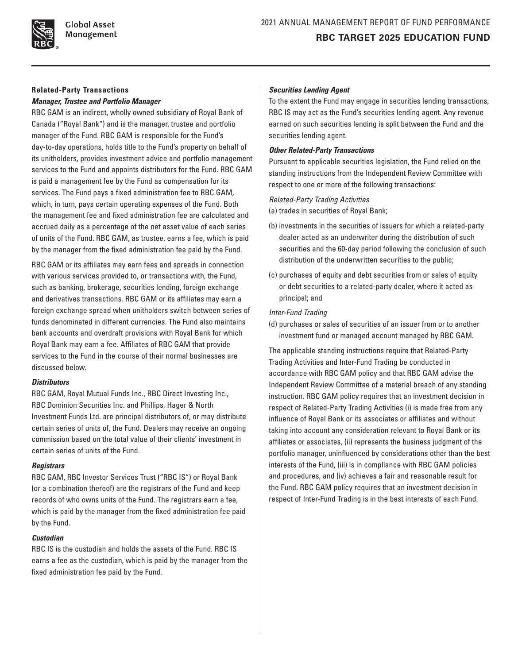

**Global Asset** Management

## **Related‑Party Transactions** *Manager, Trustee and Portfolio Manager*

RBC GAM is an indirect, wholly owned subsidiary of Royal Bank of Canada ("Royal Bank") and is the manager, trustee and portfolio manager of the Fund. RBC GAM is responsible for the Fund's day-to-day operations, holds title to the Fund's property on behalf of its unitholders, provides investment advice and portfolio management services to the Fund and appoints distributors for the Fund. RBC GAM is paid a management fee by the Fund as compensation for its services. The Fund pays a fixed administration fee to RBC GAM, which, in turn, pays certain operating expenses of the Fund. Both the management fee and fixed administration fee are calculated and accrued daily as a percentage of the net asset value of each series of units of the Fund. RBC GAM, as trustee, earns a fee, which is paid by the manager from the fixed administration fee paid by the Fund.

RBC GAM or its affiliates may earn fees and spreads in connection with various services provided to, or transactions with, the Fund, such as banking, brokerage, securities lending, foreign exchange and derivatives transactions. RBC GAM or its affiliates may earn a foreign exchange spread when unitholders switch between series of funds denominated in different currencies. The Fund also maintains bank accounts and overdraft provisions with Royal Bank for which Royal Bank may earn a fee. Affiliates of RBC GAM that provide services to the Fund in the course of their normal businesses are discussed below.

## *Distributors*

RBC GAM, Royal Mutual Funds Inc., RBC Direct Investing Inc., RBC Dominion Securities Inc. and Phillips, Hager & North Investment Funds Ltd. are principal distributors of, or may distribute certain series of units of, the Fund. Dealers may receive an ongoing commission based on the total value of their clients' investment in certain series of units of the Fund.

## *Registrars*

RBC GAM, RBC Investor Services Trust ("RBC IS") or Royal Bank (or a combination thereof) are the registrars of the Fund and keep records of who owns units of the Fund. The registrars earn a fee, which is paid by the manager from the fixed administration fee paid by the Fund.

# *Custodian*

RBC IS is the custodian and holds the assets of the Fund. RBC IS earns a fee as the custodian, which is paid by the manager from the fixed administration fee paid by the Fund.

# *Securities Lending Agent*

To the extent the Fund may engage in securities lending transactions, RBC IS may act as the Fund's securities lending agent. Any revenue earned on such securities lending is split between the Fund and the securities lending agent.

# *Other Related‑Party Transactions*

Pursuant to applicable securities legislation, the Fund relied on the standing instructions from the Independent Review Committee with respect to one or more of the following transactions:

## *Related‑Party Trading Activities*

(a) trades in securities of Royal Bank;

- (b) investments in the securities of issuers for which a related-party dealer acted as an underwriter during the distribution of such securities and the 60-day period following the conclusion of such distribution of the underwritten securities to the public;
- (c) purchases of equity and debt securities from or sales of equity or debt securities to a related‑party dealer, where it acted as principal; and

# *Inter‑Fund Trading*

(d) purchases or sales of securities of an issuer from or to another investment fund or managed account managed by RBC GAM.

The applicable standing instructions require that Related‑Party Trading Activities and Inter‑Fund Trading be conducted in accordance with RBC GAM policy and that RBC GAM advise the Independent Review Committee of a material breach of any standing instruction. RBC GAM policy requires that an investment decision in respect of Related-Party Trading Activities (i) is made free from any influence of Royal Bank or its associates or affiliates and without taking into account any consideration relevant to Royal Bank or its affiliates or associates, (ii) represents the business judgment of the portfolio manager, uninfluenced by considerations other than the best interests of the Fund, (iii) is in compliance with RBC GAM policies and procedures, and (iv) achieves a fair and reasonable result for the Fund. RBC GAM policy requires that an investment decision in respect of Inter-Fund Trading is in the best interests of each Fund.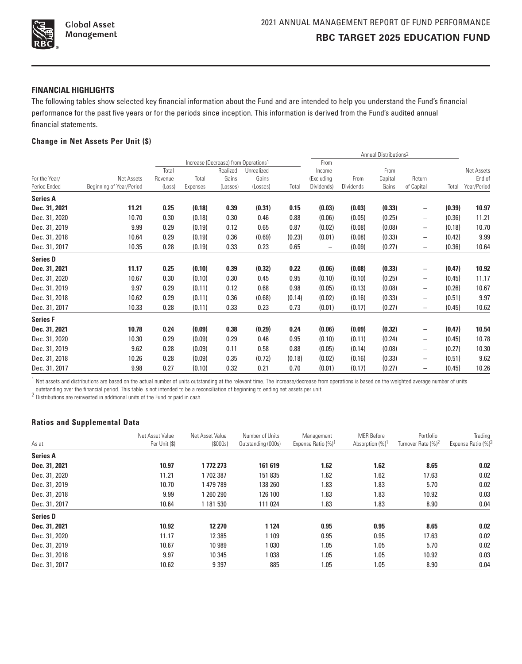

## **FINANCIAL HIGHLIGHTS**

The following tables show selected key financial information about the Fund and are intended to help you understand the Fund's financial performance for the past five years or for the periods since inception. This information is derived from the Fund's audited annual financial statements.

# **Change in Net Assets Per Unit (\$)**

|                 |                          |         |          |                                                  |            |        | Annual Distributions <sup>2</sup> |                  |         |                          |        |                   |
|-----------------|--------------------------|---------|----------|--------------------------------------------------|------------|--------|-----------------------------------|------------------|---------|--------------------------|--------|-------------------|
|                 |                          |         |          | Increase (Decrease) from Operations <sup>1</sup> |            |        | From                              |                  |         |                          |        |                   |
|                 |                          | Total   |          | Realized                                         | Unrealized |        | Income                            |                  | From    |                          |        | <b>Net Assets</b> |
| For the Year/   | Net Assets               | Revenue | Total    | Gains                                            | Gains      |        | (Excluding                        | From             | Capital | Return                   |        | End of            |
| Period Ended    | Beginning of Year/Period | (Loss)  | Expenses | (Losses)                                         | (Losses)   | Total  | Dividends)                        | <b>Dividends</b> | Gains   | of Capital               | Total  | Year/Period       |
| <b>Series A</b> |                          |         |          |                                                  |            |        |                                   |                  |         |                          |        |                   |
| Dec. 31, 2021   | 11.21                    | 0.25    | (0.18)   | 0.39                                             | (0.31)     | 0.15   | (0.03)                            | (0.03)           | (0.33)  | $\overline{\phantom{0}}$ | (0.39) | 10.97             |
| Dec. 31, 2020   | 10.70                    | 0.30    | (0.18)   | 0.30                                             | 0.46       | 0.88   | (0.06)                            | (0.05)           | (0.25)  | $\qquad \qquad -$        | (0.36) | 11.21             |
| Dec. 31, 2019   | 9.99                     | 0.29    | (0.19)   | 0.12                                             | 0.65       | 0.87   | (0.02)                            | (0.08)           | (0.08)  | -                        | (0.18) | 10.70             |
| Dec. 31, 2018   | 10.64                    | 0.29    | (0.19)   | 0.36                                             | (0.69)     | (0.23) | (0.01)                            | (0.08)           | (0.33)  | $\overline{\phantom{0}}$ | (0.42) | 9.99              |
| Dec. 31, 2017   | 10.35                    | 0.28    | (0.19)   | 0.33                                             | 0.23       | 0.65   | $\overline{\phantom{m}}$          | (0.09)           | (0.27)  | $\overline{\phantom{m}}$ | (0.36) | 10.64             |
| <b>Series D</b> |                          |         |          |                                                  |            |        |                                   |                  |         |                          |        |                   |
| Dec. 31, 2021   | 11.17                    | 0.25    | (0.10)   | 0.39                                             | (0.32)     | 0.22   | (0.06)                            | (0.08)           | (0.33)  | -                        | (0.47) | 10.92             |
| Dec. 31, 2020   | 10.67                    | 0.30    | (0.10)   | 0.30                                             | 0.45       | 0.95   | (0.10)                            | (0.10)           | (0.25)  | $\overline{\phantom{0}}$ | (0.45) | 11.17             |
| Dec. 31, 2019   | 9.97                     | 0.29    | (0.11)   | 0.12                                             | 0.68       | 0.98   | (0.05)                            | (0.13)           | (0.08)  | -                        | (0.26) | 10.67             |
| Dec. 31, 2018   | 10.62                    | 0.29    | (0.11)   | 0.36                                             | (0.68)     | (0.14) | (0.02)                            | (0.16)           | (0.33)  | $\qquad \qquad -$        | (0.51) | 9.97              |
| Dec. 31, 2017   | 10.33                    | 0.28    | (0.11)   | 0.33                                             | 0.23       | 0.73   | (0.01)                            | (0.17)           | (0.27)  | $\overline{\phantom{0}}$ | (0.45) | 10.62             |
| <b>Series F</b> |                          |         |          |                                                  |            |        |                                   |                  |         |                          |        |                   |
| Dec. 31, 2021   | 10.78                    | 0.24    | (0.09)   | 0.38                                             | (0.29)     | 0.24   | (0.06)                            | (0.09)           | (0.32)  | $\qquad \qquad -$        | (0.47) | 10.54             |
| Dec. 31, 2020   | 10.30                    | 0.29    | (0.09)   | 0.29                                             | 0.46       | 0.95   | (0.10)                            | (0.11)           | (0.24)  | $\qquad \qquad -$        | (0.45) | 10.78             |
| Dec. 31, 2019   | 9.62                     | 0.28    | (0.09)   | 0.11                                             | 0.58       | 0.88   | (0.05)                            | (0.14)           | (0.08)  | $\overline{\phantom{0}}$ | (0.27) | 10.30             |
| Dec. 31, 2018   | 10.26                    | 0.28    | (0.09)   | 0.35                                             | (0.72)     | (0.18) | (0.02)                            | (0.16)           | (0.33)  | $\overline{\phantom{0}}$ | (0.51) | 9.62              |
| Dec. 31, 2017   | 9.98                     | 0.27    | (0.10)   | 0.32                                             | 0.21       | 0.70   | (0.01)                            | (0.17)           | (0.27)  | —                        | (0.45) | 10.26             |

 $1$  Net assets and distributions are based on the actual number of units outstanding at the relevant time. The increase/decrease from operations is based on the weighted average number of units

outstanding over the financial period. This table is not intended to be a reconciliation of beginning to ending net assets per unit.<br><sup>2</sup> Distributions are reinvested in additional units of the Fund or paid in cash.

## **Ratios and Supplemental Data**

| As at           | Net Asset Value<br>Per Unit (\$) | Net Asset Value<br>(S000s) | Number of Units<br>Outstanding (000s) | Management<br>Expense Ratio (%) <sup>1</sup> | <b>MER Before</b><br>Absorption (%) <sup>1</sup> | Portfolio<br>Turnover Rate (%) <sup>2</sup> | Trading<br>Expense Ratio (%) <sup>3</sup> |
|-----------------|----------------------------------|----------------------------|---------------------------------------|----------------------------------------------|--------------------------------------------------|---------------------------------------------|-------------------------------------------|
| <b>Series A</b> |                                  |                            |                                       |                                              |                                                  |                                             |                                           |
| Dec. 31, 2021   | 10.97                            | 1772273                    | 161 619                               | 1.62                                         | 1.62                                             | 8.65                                        | 0.02                                      |
| Dec. 31, 2020   | 11.21                            | 1702387                    | 151 835                               | 1.62                                         | 1.62                                             | 17.63                                       | 0.02                                      |
| Dec. 31, 2019   | 10.70                            | 1479789                    | 138 260                               | 1.83                                         | 1.83                                             | 5.70                                        | 0.02                                      |
| Dec. 31, 2018   | 9.99                             | 1 260 290                  | 126 100                               | 1.83                                         | 1.83                                             | 10.92                                       | 0.03                                      |
| Dec. 31, 2017   | 10.64                            | 1 181 530                  | 111 024                               | 1.83                                         | 1.83                                             | 8.90                                        | 0.04                                      |
| <b>Series D</b> |                                  |                            |                                       |                                              |                                                  |                                             |                                           |
| Dec. 31, 2021   | 10.92                            | 12 270                     | 1 1 2 4                               | 0.95                                         | 0.95                                             | 8.65                                        | 0.02                                      |
| Dec. 31, 2020   | 11.17                            | 12 3 8 5                   | 1 1 0 9                               | 0.95                                         | 0.95                                             | 17.63                                       | 0.02                                      |
| Dec. 31, 2019   | 10.67                            | 10 989                     | 1030                                  | 1.05                                         | 1.05                                             | 5.70                                        | 0.02                                      |
| Dec. 31, 2018   | 9.97                             | 10 345                     | 1038                                  | 1.05                                         | 1.05                                             | 10.92                                       | 0.03                                      |
| Dec. 31, 2017   | 10.62                            | 9 3 9 7                    | 885                                   | 1.05                                         | 1.05                                             | 8.90                                        | 0.04                                      |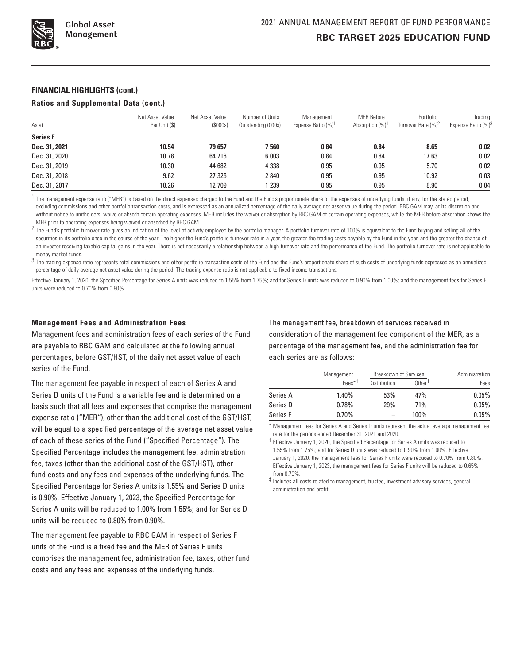

## **FINANCIAL HIGHLIGHTS (cont.)**

#### **Ratios and Supplemental Data (cont.)**

| As at           | Net Asset Value<br>Per Unit (\$) | Net Asset Value<br>(S000s) | Number of Units<br>Outstanding (000s) | Management<br>Expense Ratio (%) <sup>1</sup> | <b>MER Before</b><br>Absorption (%) <sup>1</sup> | Portfolio<br>Turnover Rate (%) <sup>2</sup> | Trading<br>Expense Ratio (%) <sup>3</sup> |
|-----------------|----------------------------------|----------------------------|---------------------------------------|----------------------------------------------|--------------------------------------------------|---------------------------------------------|-------------------------------------------|
| <b>Series F</b> |                                  |                            |                                       |                                              |                                                  |                                             |                                           |
| Dec. 31, 2021   | 10.54                            | 79657                      | 7 560                                 | 0.84                                         | 0.84                                             | 8.65                                        | 0.02                                      |
| Dec. 31, 2020   | 10.78                            | 64 7 16                    | 6 0 0 3                               | 0.84                                         | 0.84                                             | 17.63                                       | 0.02                                      |
| Dec. 31, 2019   | 10.30                            | 44 682                     | 4 3 3 8                               | 0.95                                         | 0.95                                             | 5.70                                        | 0.02                                      |
| Dec. 31, 2018   | 9.62                             | 27 325                     | 2840                                  | 0.95                                         | 0.95                                             | 10.92                                       | 0.03                                      |
| Dec. 31, 2017   | 10.26                            | 12709                      | 239                                   | 0.95                                         | 0.95                                             | 8.90                                        | 0.04                                      |

<sup>1</sup> The management expense ratio ("MER") is based on the direct expenses charged to the Fund and the Fund's proportionate share of the expenses of underlying funds, if any, for the stated period, excluding commissions and other portfolio transaction costs, and is expressed as an annualized percentage of the daily average net asset value during the period. RBC GAM may, at its discretion and without notice to unitholders, waive or absorb certain operating expenses. MER includes the waiver or absorption by RBC GAM of certain operating expenses, while the MER before absorption shows the MER prior to operating expenses being waived or absorbed by RBC GAM.

<sup>2</sup> The Fund's portfolio turnover rate gives an indication of the level of activity employed by the portfolio manager. A portfolio turnover rate of 100% is equivalent to the Fund buying and selling all of the securities in its portfolio once in the course of the year. The higher the Fund's portfolio turnover rate in a year, the greater the trading costs payable by the Fund in the year, and the greater the chance of an investor receiving taxable capital gains in the year. There is not necessarily a relationship between a high turnover rate and the performance of the Fund. The portfolio turnover rate is not applicable to money market funds.

<sup>3</sup> The trading expense ratio represents total commissions and other portfolio transaction costs of the Fund and the Fund's proportionate share of such costs of underlying funds expressed as an annualized percentage of daily average net asset value during the period. The trading expense ratio is not applicable to fixed-income transactions.

Effective January 1, 2020, the Specified Percentage for Series A units was reduced to 1.55% from 1.75%; and for Series D units was reduced to 0.90% from 1.00%; and the management fees for Series F units were reduced to 0.70% from 0.80%.

#### **Management Fees and Administration Fees**

Management fees and administration fees of each series of the Fund are payable to RBC GAM and calculated at the following annual percentages, before GST/HST, of the daily net asset value of each series of the Fund.

The management fee payable in respect of each of Series A and Series D units of the Fund is a variable fee and is determined on a basis such that all fees and expenses that comprise the management expense ratio ("MER"), other than the additional cost of the GST/HST, will be equal to a specified percentage of the average net asset value of each of these series of the Fund ("Specified Percentage"). The Specified Percentage includes the management fee, administration fee, taxes (other than the additional cost of the GST/HST), other fund costs and any fees and expenses of the underlying funds. The Specified Percentage for Series A units is 1.55% and Series D units is 0.90%. Effective January 1, 2023, the Specified Percentage for Series A units will be reduced to 1.00% from 1.55%; and for Series D units will be reduced to 0.80% from 0.90%.

The management fee payable to RBC GAM in respect of Series F units of the Fund is a fixed fee and the MER of Series F units comprises the management fee, administration fee, taxes, other fund costs and any fees and expenses of the underlying funds.

The management fee, breakdown of services received in consideration of the management fee component of the MER, as a percentage of the management fee, and the administration fee for each series are as follows:

|          | Management         | <b>Breakdown of Services</b> |              | Administration |  |
|----------|--------------------|------------------------------|--------------|----------------|--|
|          | Fees <sup>*†</sup> | Distribution                 | $0$ ther $‡$ | Fees           |  |
| Series A | 1.40%              | 53%                          | 47%          | 0.05%          |  |
| Series D | 0.78%              | 29%                          | 71%          | 0.05%          |  |
| Series F | $0.70\%$           | $\overline{\phantom{0}}$     | 100%         | 0.05%          |  |

\* Management fees for Series A and Series D units represent the actual average management fee rate for the periods ended December 31, 2021 and 2020.

† Effective January 1, 2020, the Specified Percentage for Series A units was reduced to 1.55% from 1.75%; and for Series D units was reduced to 0.90% from 1.00%. Effective January 1, 2020, the management fees for Series F units were reduced to 0.70% from 0.80%. Effective January 1, 2023, the management fees for Series F units will be reduced to 0.65% from 0.70%.

‡ Includes all costs related to management, trustee, investment advisory services, general administration and profit.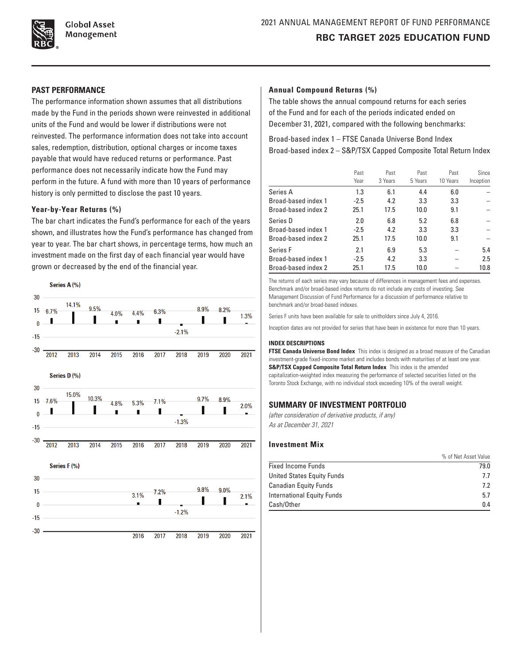

# **PAST PERFORMANCE**

The performance information shown assumes that all distributions made by the Fund in the periods shown were reinvested in additional units of the Fund and would be lower if distributions were not reinvested. The performance information does not take into account sales, redemption, distribution, optional charges or income taxes payable that would have reduced returns or performance. Past performance does not necessarily indicate how the Fund may perform in the future. A fund with more than 10 years of performance history is only permitted to disclose the past 10 years.

## **Year‑by‑Year Returns (%)**

The bar chart indicates the Fund's performance for each of the years shown, and illustrates how the Fund's performance has changed from year to year. The bar chart shows, in percentage terms, how much an investment made on the first day of each financial year would have grown or decreased by the end of the financial year.



## **Annual Compound Returns (%)**

The table shows the annual compound returns for each series of the Fund and for each of the periods indicated ended on December 31, 2021, compared with the following benchmarks:

Broad-based index 1 – FTSE Canada Universe Bond Index Broad-based index 2 – S&P/TSX Capped Composite Total Return Index

|                     | Past<br>Year | Past<br>3 Years | Past<br>5 Years | Past<br>10 Years | Since<br>Inception |
|---------------------|--------------|-----------------|-----------------|------------------|--------------------|
| Series A            | 1.3          | 6.1             | 4.4             | 6.0              |                    |
| Broad-based index 1 | $-2.5$       | 4.2             | 3.3             | 3.3              |                    |
| Broad-based index 2 | 25.1         | 17.5            | 10.0            | 9.1              |                    |
| Series D            | 2.0          | 6.8             | 5.2             | 6.8              |                    |
| Broad-based index 1 | $-2.5$       | 4.2             | 3.3             | 3.3              |                    |
| Broad-based index 2 | 25.1         | 17.5            | 10.0            | 9.1              |                    |
| Series <sub>F</sub> | 2.1          | 6.9             | 5.3             |                  | 5.4                |
| Broad-based index 1 | $-2.5$       | 4.2             | 3.3             |                  | 2.5                |
| Broad-based index 2 | 25.1         | 17.5            | 10.0            |                  | 10.8               |

The returns of each series may vary because of differences in management fees and expenses. Benchmark and/or broad-based index returns do not include any costs of investing. See Management Discussion of Fund Performance for a discussion of performance relative to benchmark and/or broad‑based indexes.

Series F units have been available for sale to unitholders since July 4, 2016.

Inception dates are not provided for series that have been in existence for more than 10 years.

#### **INDEX DESCRIPTIONS**

**FTSE Canada Universe Bond Index** This index is designed as a broad measure of the Canadian investment‑grade fixed‑income market and includes bonds with maturities of at least one year. **S&P/TSX Capped Composite Total Return Index** This index is the amended capitalization‑weighted index measuring the performance of selected securities listed on the Toronto Stock Exchange, with no individual stock exceeding 10% of the overall weight.

## **SUMMARY OF INVESTMENT PORTFOLIO**

*(after consideration of derivative products, if any) As at December 31, 2021*

#### **Investment Mix**

|                                   | % of Net Asset Value |
|-----------------------------------|----------------------|
| <b>Fixed Income Funds</b>         | 79.0                 |
| United States Equity Funds        | 77                   |
| <b>Canadian Equity Funds</b>      | 7.2                  |
| <b>International Equity Funds</b> | 5.7                  |
| Cash/Other                        | 0.4                  |